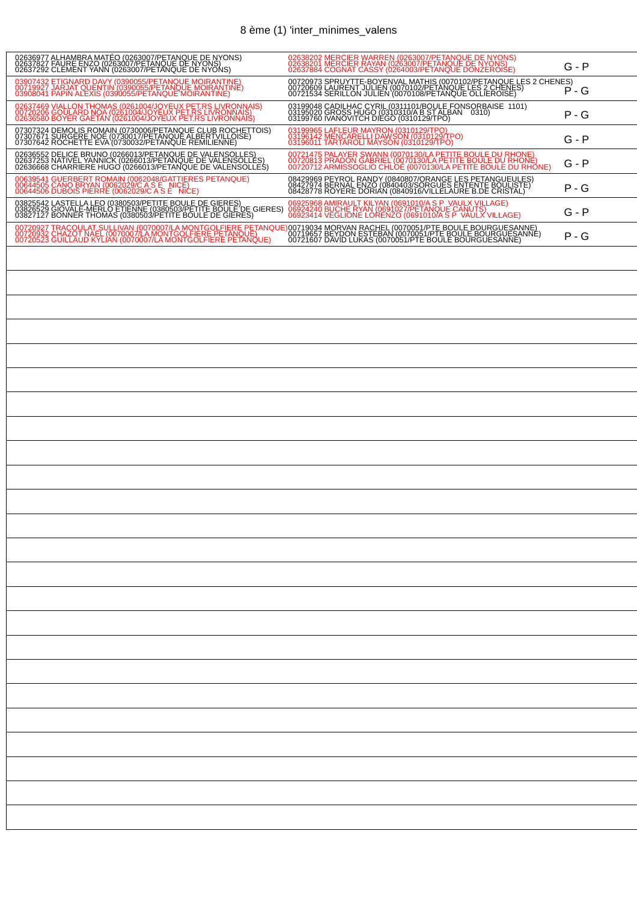## 8 ème (1) 'inter\_minimes\_valens

| 02636977 ALHAMBRA MATÉO (0263007/PETANQUE DE NYONS)<br>02637827 FAURE ENZO (0263007/PETANQUE DE NYONS)<br>02637292 CLEMENT YANN (0263007/PETANQUE DE NYONS)                          | 02638202 MERCIER WARREN (0263007/PETANQUE DE NYONS)<br>02638201 MERCIER RAYAN (0263007/PETANQUE DE NYONS)<br>02637884 COGNAT CASSY (0264003/PETANQUE DONZEROISE)                         | $G - P$ |
|--------------------------------------------------------------------------------------------------------------------------------------------------------------------------------------|------------------------------------------------------------------------------------------------------------------------------------------------------------------------------------------|---------|
| 03907432 ETIGNARD DAVY (0390055/PETANQUE MOIRANTINE)<br>00719927 JARJAT QUENTIN (0390055/PETANQUE MOIRANTINE)<br>03908041 PAPIN ALEXIS (0390055/PETANQUE MOIRANTINE)                 | 00720973 SPRUYTTE-BOYENVAL MATHIS (0070102/PETANQUE LES 2 CHENES)<br>00720609 LAURENT JULIEN (0070102/PETANQUE LES 2 CHENES)<br>00721534 SERILLON JULIEN (0070108/PETANQUE OLLIEROISE) P | $P - G$ |
| 02637469 VIALLON THOMAS (0261004/JOYEUX PET.RS LIVRONNAIS)<br>00720206 GOULARD NOA (0261004/JOYEUX PET.RS LIVRONNAIS)<br>02636580 BOYER GAETAN (0261004/JOYEUX PET.RS LIVRONNAIS)    | 03199048 CADILHAC CYRIL (0311101/BOULE FONSORBAISE 1101)<br>03195020 GROSS HUGO (0310310/A B ST ALBAN 0310)<br>03199760 IVANOVITCH DIEGO (0310129/TPO)                                   | $P - G$ |
| 07307324 DEMOLIS ROMAIN (0730006/PETANQUE CLUB ROCHETTOIS)<br>07307671 SURGERE NOE (0730017/PETANQUE ALBERTVILLOISE)<br>07307642 ROCHETTE EVA (0730032/PETANQUE REMILIENNE)          | 03199965 LAFLEUR MAYRON (0310129/TPO)<br>03196142 MENCARELLI DAWSON (0310129/TPO)<br>03196011 TARTAROLI MAYSON (0310129/TPO)                                                             | G - P   |
| 02636552 DELICE BRUNO (0266013/PETANQUE DE VALENSOLLES)<br>02637253 NATIVEL YANNICK (0266013/PETANQUE DE VALENSOLLES)<br>02636668 CHARRIERE HUGO (0266013/PETANQUE DE VALENSOLLES)   | 00721475 PALAYER SWANN (0070130/LA PETITE BOULE DU RHONE)<br>00720813 PRADON GABRIEL (0070130/LA PETITE BOULE DU RHONE)<br>00720712 ARMISSOGLIO CHLOE (0070130/LA PETITE BOULE DU RHONE) | G - P   |
| 00639541 GUERBERT ROMAIN (0062048/GATTIERES PETANQUE)<br>00644505 CANO BRYAN (0062029/C A S E_NICE)<br>00644506 DUBOIS PIERRE (0062029/C A S E_NICE)                                 | 08429969 PEYROL RANDY (0840807/ORANGE LES PETANGUEULES)<br>08427974 BERNAL ENZO (0840403/SORGUES ENTENTE BOULISTE)<br>08428778 ROYERE DORIAN (0840916/VILLELAURE B.DE CRISTAL)           | P - G   |
| 03825542 LASTELLA LEO (0380503/PETITE BOULE DE GIERES)<br>03826529 GIOVALE-MERLO ETIENNE (0380503/PETITE BOULE DE GIERES)<br>03827127 BONNER THOMAS (0380503/PETITE BOULE DE GIERES) | 06925968 AMIRAULT KILYAN (0691010/A S P_VAULX VILLAGE)<br>06924240 BUCHE RYAN (0691027/PETANQUE CANUTS)<br>06923414 VEGLIONE LORENZO (0691010/A S P_VAULX VILLAGE)                       | $G - P$ |
|                                                                                                                                                                                      |                                                                                                                                                                                          | P - G   |
|                                                                                                                                                                                      |                                                                                                                                                                                          |         |
|                                                                                                                                                                                      |                                                                                                                                                                                          |         |
|                                                                                                                                                                                      |                                                                                                                                                                                          |         |
|                                                                                                                                                                                      |                                                                                                                                                                                          |         |
|                                                                                                                                                                                      |                                                                                                                                                                                          |         |
|                                                                                                                                                                                      |                                                                                                                                                                                          |         |
|                                                                                                                                                                                      |                                                                                                                                                                                          |         |
|                                                                                                                                                                                      |                                                                                                                                                                                          |         |
|                                                                                                                                                                                      |                                                                                                                                                                                          |         |
|                                                                                                                                                                                      |                                                                                                                                                                                          |         |
|                                                                                                                                                                                      |                                                                                                                                                                                          |         |
|                                                                                                                                                                                      |                                                                                                                                                                                          |         |
|                                                                                                                                                                                      |                                                                                                                                                                                          |         |
|                                                                                                                                                                                      |                                                                                                                                                                                          |         |
|                                                                                                                                                                                      |                                                                                                                                                                                          |         |
|                                                                                                                                                                                      |                                                                                                                                                                                          |         |
|                                                                                                                                                                                      |                                                                                                                                                                                          |         |
|                                                                                                                                                                                      |                                                                                                                                                                                          |         |
|                                                                                                                                                                                      |                                                                                                                                                                                          |         |
|                                                                                                                                                                                      |                                                                                                                                                                                          |         |
|                                                                                                                                                                                      |                                                                                                                                                                                          |         |
|                                                                                                                                                                                      |                                                                                                                                                                                          |         |
|                                                                                                                                                                                      |                                                                                                                                                                                          |         |
|                                                                                                                                                                                      |                                                                                                                                                                                          |         |
|                                                                                                                                                                                      |                                                                                                                                                                                          |         |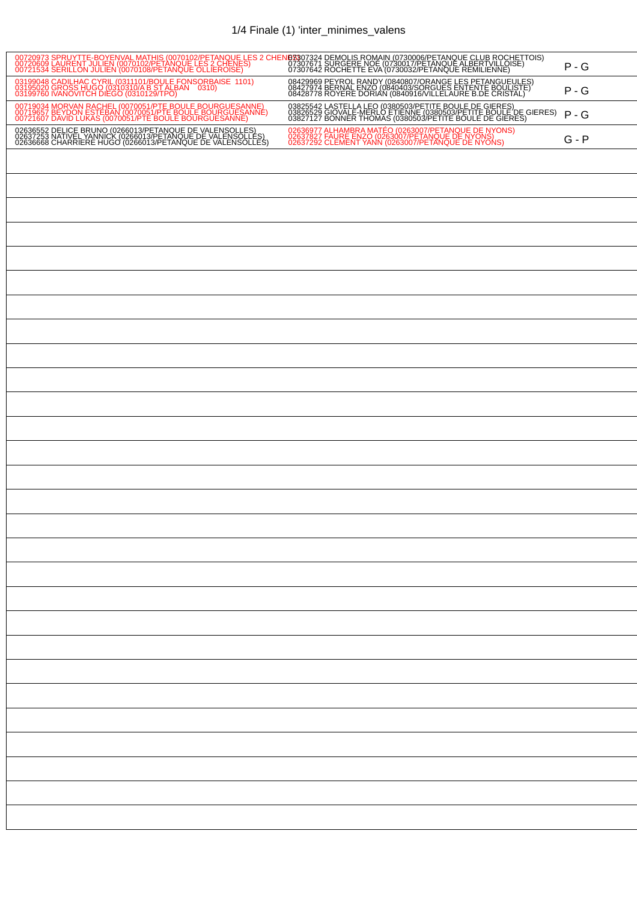## 1/4 Finale (1) 'inter\_minimes\_valens

| 00720973 SPRUYTTE-BOYENVAL MATHIS (0070102/PETANQUE LES 2 CHE <mark>NB33</mark> 07324 DEMOLIS ROMAIN (0730006/PETANQUE CLUB ROCHETTOIS)<br>00720609 LAURENT JULIEN (0070102/PETANQUE LES 2 CHENES)      07307671 SURGERE NOE (0730017/PETANQUE |                                                                                                                                                                                      | $P - G$ |
|------------------------------------------------------------------------------------------------------------------------------------------------------------------------------------------------------------------------------------------------|--------------------------------------------------------------------------------------------------------------------------------------------------------------------------------------|---------|
| 03199048 CADILHAC CYRIL (0311101/BOULE FONSORBAISE 1101)<br>03195020 GROSS HUGO (0310310/A B ST ALBAN 0310)<br>03199760 IVANOVITCH DIEGO (0310129/TPO)                                                                                         | 08429969 PEYROL RANDY (0840807/ORANGE LES PETANGUEULES)<br>08427974 BERNAL ENZO (0840403/SORGUES ENTENTE BOULISTE)<br>08428778 ROYERE DORIAN (0840916/VILLELAURE B.DE CRISTAL)       | $P - G$ |
| 00719034 MORVAN RACHEL (0070051/PTE BOULE BOURGUESANNE)<br>00719657 BEYDON ESTEBAN (0070051/PTE BOULE BOURGUESANNE)<br>00721607 DAVID LUKAS (0070051/PTE BOULE BOURGUESANNE)                                                                   | 03825542 LASTELLA LEO (0380503/PETITE BOULE DE GIERES)<br>03826529 GIOVALE-MERLO ETIENNE (0380503/PETITE BOULE DE GIERES)<br>03827127 BONNER THOMAS (0380503/PETITE BOULE DE GIERES) | $P - G$ |
| 02636552 DELICE BRUNO (0266013/PETANQUE DE VALENSQUES)<br>02637253 NATIVEL YANNICK (0266013/PETANQUE DE VALENSQLLES)<br>02636668 CHARRIERE HUGO (0266013/PETANQUE DE VALENSOLLES)                                                              | 02636977 ALHAMBRA MATÉO (0263007/PETANOUE DE NYONS)<br>02637827 FAURE ENZO (0263007/PETANOUE DE NYONS)<br>02637292 CLEMENT YANN (0263007/PETANQUE DE NYONS)                          | G - P   |
|                                                                                                                                                                                                                                                |                                                                                                                                                                                      |         |
|                                                                                                                                                                                                                                                |                                                                                                                                                                                      |         |
|                                                                                                                                                                                                                                                |                                                                                                                                                                                      |         |
|                                                                                                                                                                                                                                                |                                                                                                                                                                                      |         |
|                                                                                                                                                                                                                                                |                                                                                                                                                                                      |         |
|                                                                                                                                                                                                                                                |                                                                                                                                                                                      |         |
|                                                                                                                                                                                                                                                |                                                                                                                                                                                      |         |
|                                                                                                                                                                                                                                                |                                                                                                                                                                                      |         |
|                                                                                                                                                                                                                                                |                                                                                                                                                                                      |         |
|                                                                                                                                                                                                                                                |                                                                                                                                                                                      |         |
|                                                                                                                                                                                                                                                |                                                                                                                                                                                      |         |
|                                                                                                                                                                                                                                                |                                                                                                                                                                                      |         |
|                                                                                                                                                                                                                                                |                                                                                                                                                                                      |         |
|                                                                                                                                                                                                                                                |                                                                                                                                                                                      |         |
|                                                                                                                                                                                                                                                |                                                                                                                                                                                      |         |
|                                                                                                                                                                                                                                                |                                                                                                                                                                                      |         |
|                                                                                                                                                                                                                                                |                                                                                                                                                                                      |         |
|                                                                                                                                                                                                                                                |                                                                                                                                                                                      |         |
|                                                                                                                                                                                                                                                |                                                                                                                                                                                      |         |
|                                                                                                                                                                                                                                                |                                                                                                                                                                                      |         |
|                                                                                                                                                                                                                                                |                                                                                                                                                                                      |         |
|                                                                                                                                                                                                                                                |                                                                                                                                                                                      |         |
|                                                                                                                                                                                                                                                |                                                                                                                                                                                      |         |
|                                                                                                                                                                                                                                                |                                                                                                                                                                                      |         |
|                                                                                                                                                                                                                                                |                                                                                                                                                                                      |         |
|                                                                                                                                                                                                                                                |                                                                                                                                                                                      |         |
|                                                                                                                                                                                                                                                |                                                                                                                                                                                      |         |
|                                                                                                                                                                                                                                                |                                                                                                                                                                                      |         |